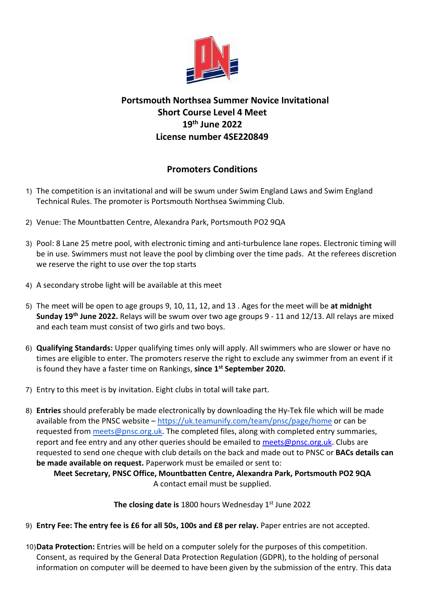

## Portsmouth Northsea Summer Novice Invitational Short Course Level 4 Meet 19th June 2022 License number 4SE220849

## Promoters Conditions

- 1) The competition is an invitational and will be swum under Swim England Laws and Swim England Technical Rules. The promoter is Portsmouth Northsea Swimming Club.
- 2) Venue: The Mountbatten Centre, Alexandra Park, Portsmouth PO2 9QA
- 3) Pool: 8 Lane 25 metre pool, with electronic timing and anti-turbulence lane ropes. Electronic timing will be in use. Swimmers must not leave the pool by climbing over the time pads. At the referees discretion we reserve the right to use over the top starts
- 4) A secondary strobe light will be available at this meet
- 5) The meet will be open to age groups 9, 10, 11, 12, and 13 . Ages for the meet will be at midnight Sunday 19<sup>th</sup> June 2022. Relays will be swum over two age groups 9 - 11 and 12/13. All relays are mixed and each team must consist of two girls and two boys.
- 6) Qualifying Standards: Upper qualifying times only will apply. All swimmers who are slower or have no times are eligible to enter. The promoters reserve the right to exclude any swimmer from an event if it is found they have a faster time on Rankings, since 1<sup>st</sup> September 2020.
- 7) Entry to this meet is by invitation. Eight clubs in total will take part.
- 8) Entries should preferably be made electronically by downloading the Hy-Tek file which will be made available from the PNSC website – https://uk.teamunify.com/team/pnsc/page/home or can be requested from meets@pnsc.org.uk. The completed files, along with completed entry summaries, report and fee entry and any other queries should be emailed to meets@pnsc.org.uk. Clubs are requested to send one cheque with club details on the back and made out to PNSC or BACs details can be made available on request. Paperwork must be emailed or sent to:

Meet Secretary, PNSC Office, Mountbatten Centre, Alexandra Park, Portsmouth PO2 9QA A contact email must be supplied.

The closing date is 1800 hours Wednesday  $1<sup>st</sup>$  June 2022

- 9) Entry Fee: The entry fee is £6 for all 50s, 100s and £8 per relay. Paper entries are not accepted.
- 10) Data Protection: Entries will be held on a computer solely for the purposes of this competition. Consent, as required by the General Data Protection Regulation (GDPR), to the holding of personal information on computer will be deemed to have been given by the submission of the entry. This data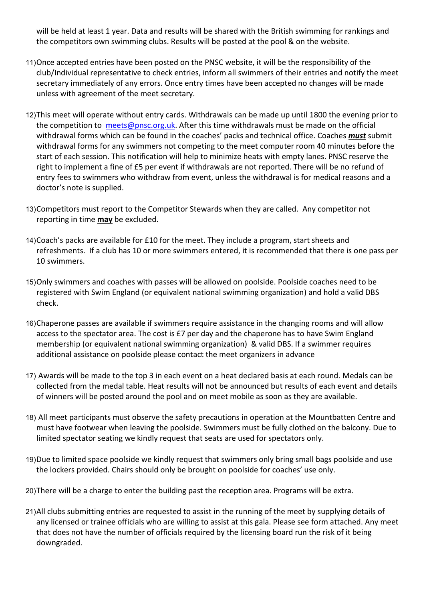will be held at least 1 year. Data and results will be shared with the British swimming for rankings and the competitors own swimming clubs. Results will be posted at the pool & on the website.

- 11) Once accepted entries have been posted on the PNSC website, it will be the responsibility of the club/Individual representative to check entries, inform all swimmers of their entries and notify the meet secretary immediately of any errors. Once entry times have been accepted no changes will be made unless with agreement of the meet secretary.
- 12) This meet will operate without entry cards. Withdrawals can be made up until 1800 the evening prior to the competition to meets@pnsc.org.uk. After this time withdrawals must be made on the official withdrawal forms which can be found in the coaches' packs and technical office. Coaches *must* submit withdrawal forms for any swimmers not competing to the meet computer room 40 minutes before the start of each session. This notification will help to minimize heats with empty lanes. PNSC reserve the right to implement a fine of £5 per event if withdrawals are not reported. There will be no refund of entry fees to swimmers who withdraw from event, unless the withdrawal is for medical reasons and a doctor's note is supplied.
- 13) Competitors must report to the Competitor Stewards when they are called. Any competitor not reporting in time may be excluded.
- 14) Coach's packs are available for £10 for the meet. They include a program, start sheets and refreshments. If a club has 10 or more swimmers entered, it is recommended that there is one pass per 10 swimmers.
- 15) Only swimmers and coaches with passes will be allowed on poolside. Poolside coaches need to be registered with Swim England (or equivalent national swimming organization) and hold a valid DBS check.
- 16) Chaperone passes are available if swimmers require assistance in the changing rooms and will allow access to the spectator area. The cost is £7 per day and the chaperone has to have Swim England membership (or equivalent national swimming organization) & valid DBS. If a swimmer requires additional assistance on poolside please contact the meet organizers in advance
- 17) Awards will be made to the top 3 in each event on a heat declared basis at each round. Medals can be collected from the medal table. Heat results will not be announced but results of each event and details of winners will be posted around the pool and on meet mobile as soon as they are available.
- 18) All meet participants must observe the safety precautions in operation at the Mountbatten Centre and must have footwear when leaving the poolside. Swimmers must be fully clothed on the balcony. Due to limited spectator seating we kindly request that seats are used for spectators only.
- 19) Due to limited space poolside we kindly request that swimmers only bring small bags poolside and use the lockers provided. Chairs should only be brought on poolside for coaches' use only.
- 20) There will be a charge to enter the building past the reception area. Programs will be extra.
- 21) All clubs submitting entries are requested to assist in the running of the meet by supplying details of any licensed or trainee officials who are willing to assist at this gala. Please see form attached. Any meet that does not have the number of officials required by the licensing board run the risk of it being downgraded.